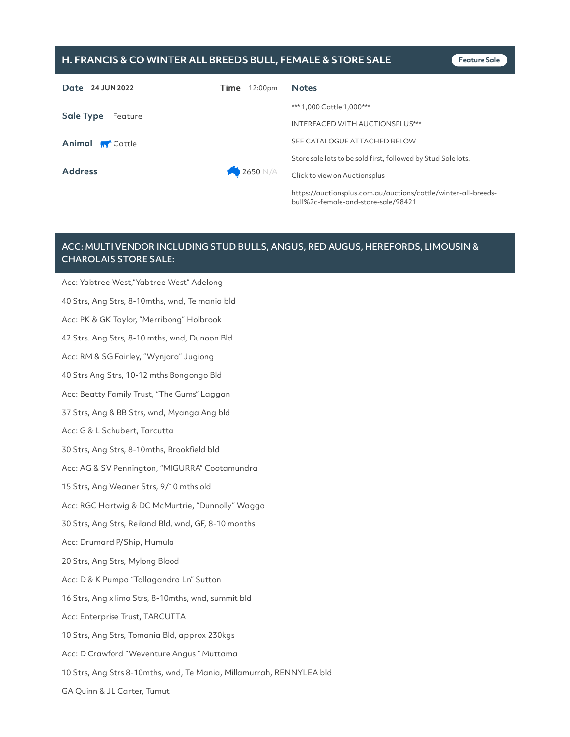## **H. FRANCIS & CO WINTER ALL BREEDS BULL, FEMALE & STORE SALE Feature Sale**

| Date 24 JUN 2022       | $Time$ 12:00pm | <b>Notes</b>                                                  |
|------------------------|----------------|---------------------------------------------------------------|
| Sale Type Feature      |                | *** 1,000 Cattle 1,000 ***                                    |
|                        |                | INTERFACED WITH AUCTIONSPLUS***                               |
| <b>Animal M</b> Cattle |                | SEE CATALOGUE ATTACHED BELOW                                  |
|                        |                | Store sale lots to be sold first, followed by Stud Sale lots. |
| <b>Address</b>         | 2650 N/A       | Click to view on Auctionsplus                                 |
|                        |                | .                                                             |

https://auctionsplus.com.au/auctions/cattle/winter-all-breedsbull%2c-female-and-store-sale/98421

## ACC: MULTI VENDOR INCLUDING STUD BULLS, ANGUS, RED AUGUS, HEREFORDS, LIMOUSIN & CHAROLAIS STORE SALE:

Acc: Yabtree West,"Yabtree West" Adelong 40 Strs, Ang Strs, 8-10mths, wnd, Te mania bld Acc: PK & GK Taylor, "Merribong" Holbrook 42 Strs. Ang Strs, 8-10 mths, wnd, Dunoon Bld Acc: RM & SG Fairley, "Wynjara" Jugiong 40 Strs Ang Strs, 10-12 mths Bongongo Bld Acc: Beatty Family Trust, "The Gums" Laggan 37 Strs, Ang & BB Strs, wnd, Myanga Ang bld Acc: G & L Schubert, Tarcutta 30 Strs, Ang Strs, 8-10mths, Brookfield bld Acc: AG & SV Pennington, "MIGURRA" Cootamundra 15 Strs, Ang Weaner Strs, 9/10 mths old Acc: RGC Hartwig & DC McMurtrie, "Dunnolly" Wagga 30 Strs, Ang Strs, Reiland Bld, wnd, GF, 8-10 months Acc: Drumard P/Ship, Humula 20 Strs, Ang Strs, Mylong Blood Acc: D & K Pumpa "Tallagandra Ln" Sutton 16 Strs, Ang x limo Strs, 8-10mths, wnd, summit bld Acc: Enterprise Trust, TARCUTTA 10 Strs, Ang Strs, Tomania Bld, approx 230kgs Acc: D Crawford "Weventure Angus " Muttama 10 Strs, Ang Strs 8-10mths, wnd, Te Mania, Millamurrah, RENNYLEA bld GA Quinn & JL Carter, Tumut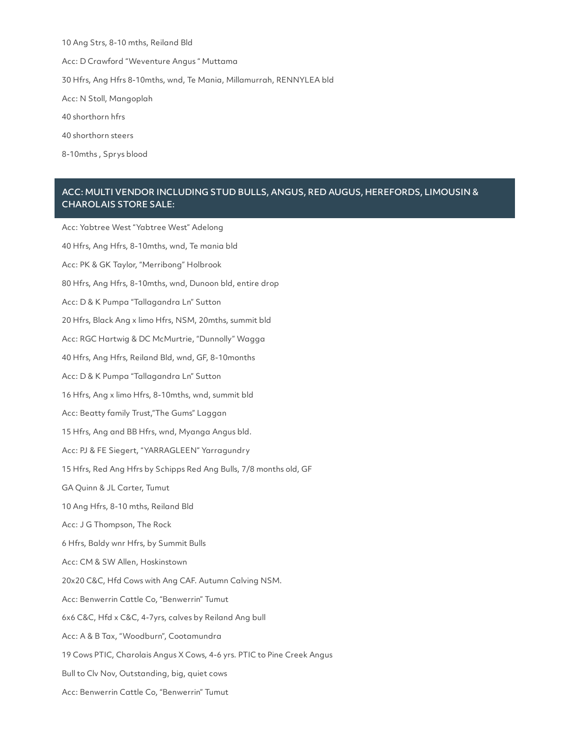Ang Strs, 8-10 mths, Reiland Bld Acc: D Crawford "Weventure Angus " Muttama Hfrs, Ang Hfrs 8-10mths, wnd, Te Mania, Millamurrah, RENNYLEA bld Acc: N Stoll, Mangoplah shorthorn hfrs shorthorn steers

8-10mths , Sprys blood

## ACC: MULTI VENDOR INCLUDING STUD BULLS, ANGUS, RED AUGUS, HEREFORDS, LIMOUSIN & CHAROLAIS STORE SALE:

Acc: Yabtree West "Yabtree West" Adelong 40 Hfrs, Ang Hfrs, 8-10mths, wnd, Te mania bld Acc: PK & GK Taylor, "Merribong" Holbrook 80 Hfrs, Ang Hfrs, 8-10mths, wnd, Dunoon bld, entire drop Acc: D & K Pumpa "Tallagandra Ln" Sutton 20 Hfrs, Black Ang x limo Hfrs, NSM, 20mths, summit bld Acc: RGC Hartwig & DC McMurtrie, "Dunnolly" Wagga 40 Hfrs, Ang Hfrs, Reiland Bld, wnd, GF, 8-10months Acc: D & K Pumpa "Tallagandra Ln" Sutton 16 Hfrs, Ang x limo Hfrs, 8-10mths, wnd, summit bld Acc: Beatty family Trust,"The Gums" Laggan 15 Hfrs, Ang and BB Hfrs, wnd, Myanga Angus bld. Acc: PJ & FE Siegert, "YARRAGLEEN" Yarragundry 15 Hfrs, Red Ang Hfrs by Schipps Red Ang Bulls, 7/8 months old, GF GA Quinn & JL Carter, Tumut 10 Ang Hfrs, 8-10 mths, Reiland Bld Acc: J G Thompson, The Rock 6 Hfrs, Baldy wnr Hfrs, by Summit Bulls Acc: CM & SW Allen, Hoskinstown 20x20 C&C, Hfd Cows with Ang CAF. Autumn Calving NSM. Acc: Benwerrin Cattle Co, "Benwerrin" Tumut 6x6 C&C, Hfd x C&C, 4-7yrs, calves by Reiland Ang bull Acc: A & B Tax, "Woodburn", Cootamundra 19 Cows PTIC, Charolais Angus X Cows, 4-6 yrs. PTIC to Pine Creek Angus Bull to Clv Nov, Outstanding, big, quiet cows Acc: Benwerrin Cattle Co, "Benwerrin" Tumut